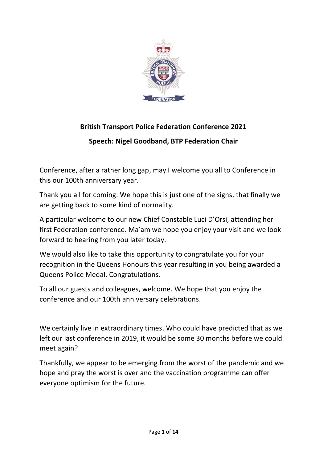

# **British Transport Police Federation Conference 2021**

**Speech: Nigel Goodband, BTP Federation Chair**

Conference, after a rather long gap, may I welcome you all to Conference in this our 100th anniversary year.

Thank you all for coming. We hope this is just one of the signs, that finally we are getting back to some kind of normality.

A particular welcome to our new Chief Constable Luci D'Orsi, attending her first Federation conference. Ma'am we hope you enjoy your visit and we look forward to hearing from you later today.

We would also like to take this opportunity to congratulate you for your recognition in the Queens Honours this year resulting in you being awarded a Queens Police Medal. Congratulations.

To all our guests and colleagues, welcome. We hope that you enjoy the conference and our 100th anniversary celebrations.

We certainly live in extraordinary times. Who could have predicted that as we left our last conference in 2019, it would be some 30 months before we could meet again?

Thankfully, we appear to be emerging from the worst of the pandemic and we hope and pray the worst is over and the vaccination programme can offer everyone optimism for the future.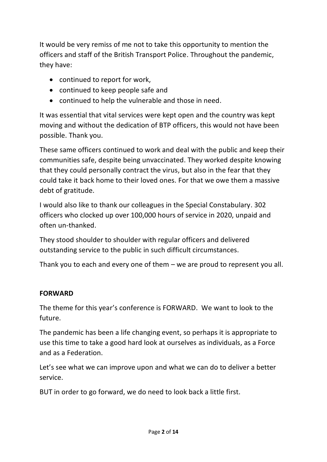It would be very remiss of me not to take this opportunity to mention the officers and staff of the British Transport Police. Throughout the pandemic, they have:

- continued to report for work,
- continued to keep people safe and
- continued to help the vulnerable and those in need.

It was essential that vital services were kept open and the country was kept moving and without the dedication of BTP officers, this would not have been possible. Thank you.

These same officers continued to work and deal with the public and keep their communities safe, despite being unvaccinated. They worked despite knowing that they could personally contract the virus, but also in the fear that they could take it back home to their loved ones. For that we owe them a massive debt of gratitude.

I would also like to thank our colleagues in the Special Constabulary. 302 officers who clocked up over 100,000 hours of service in 2020, unpaid and often un-thanked.

They stood shoulder to shoulder with regular officers and delivered outstanding service to the public in such difficult circumstances.

Thank you to each and every one of them – we are proud to represent you all.

# **FORWARD**

The theme for this year's conference is FORWARD. We want to look to the future.

The pandemic has been a life changing event, so perhaps it is appropriate to use this time to take a good hard look at ourselves as individuals, as a Force and as a Federation.

Let's see what we can improve upon and what we can do to deliver a better service.

BUT in order to go forward, we do need to look back a little first.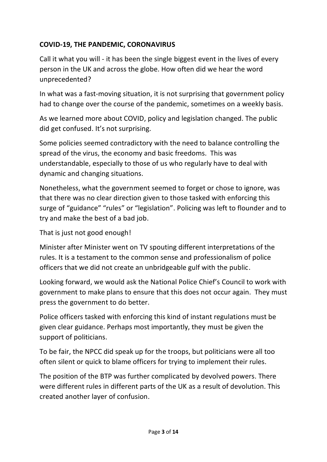# **COVID-19, THE PANDEMIC, CORONAVIRUS**

Call it what you will - it has been the single biggest event in the lives of every person in the UK and across the globe. How often did we hear the word unprecedented?

In what was a fast-moving situation, it is not surprising that government policy had to change over the course of the pandemic, sometimes on a weekly basis.

As we learned more about COVID, policy and legislation changed. The public did get confused. It's not surprising.

Some policies seemed contradictory with the need to balance controlling the spread of the virus, the economy and basic freedoms. This was understandable, especially to those of us who regularly have to deal with dynamic and changing situations.

Nonetheless, what the government seemed to forget or chose to ignore, was that there was no clear direction given to those tasked with enforcing this surge of "guidance" "rules" or "legislation". Policing was left to flounder and to try and make the best of a bad job.

That is just not good enough!

Minister after Minister went on TV spouting different interpretations of the rules. It is a testament to the common sense and professionalism of police officers that we did not create an unbridgeable gulf with the public.

Looking forward, we would ask the National Police Chief's Council to work with government to make plans to ensure that this does not occur again. They must press the government to do better.

Police officers tasked with enforcing this kind of instant regulations must be given clear guidance. Perhaps most importantly, they must be given the support of politicians.

To be fair, the NPCC did speak up for the troops, but politicians were all too often silent or quick to blame officers for trying to implement their rules.

The position of the BTP was further complicated by devolved powers. There were different rules in different parts of the UK as a result of devolution. This created another layer of confusion.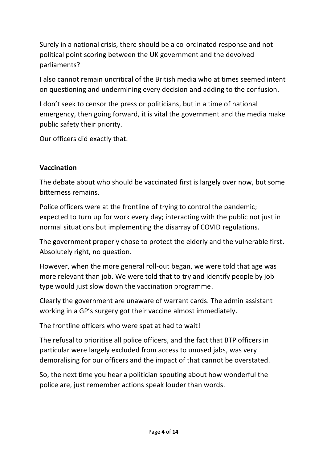Surely in a national crisis, there should be a co-ordinated response and not political point scoring between the UK government and the devolved parliaments?

I also cannot remain uncritical of the British media who at times seemed intent on questioning and undermining every decision and adding to the confusion.

I don't seek to censor the press or politicians, but in a time of national emergency, then going forward, it is vital the government and the media make public safety their priority.

Our officers did exactly that.

## **Vaccination**

The debate about who should be vaccinated first is largely over now, but some bitterness remains.

Police officers were at the frontline of trying to control the pandemic; expected to turn up for work every day; interacting with the public not just in normal situations but implementing the disarray of COVID regulations.

The government properly chose to protect the elderly and the vulnerable first. Absolutely right, no question.

However, when the more general roll-out began, we were told that age was more relevant than job. We were told that to try and identify people by job type would just slow down the vaccination programme.

Clearly the government are unaware of warrant cards. The admin assistant working in a GP's surgery got their vaccine almost immediately.

The frontline officers who were spat at had to wait!

The refusal to prioritise all police officers, and the fact that BTP officers in particular were largely excluded from access to unused jabs, was very demoralising for our officers and the impact of that cannot be overstated.

So, the next time you hear a politician spouting about how wonderful the police are, just remember actions speak louder than words.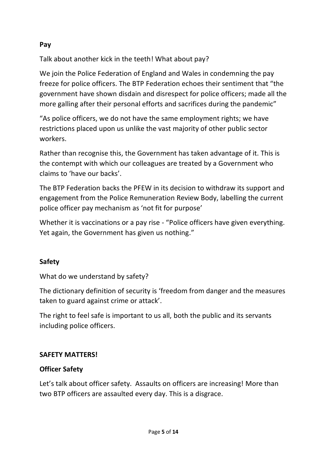# **Pay**

Talk about another kick in the teeth! What about pay?

We join the Police Federation of England and Wales in condemning the pay freeze for police officers. The BTP Federation echoes their sentiment that "the government have shown disdain and disrespect for police officers; made all the more galling after their personal efforts and sacrifices during the pandemic"

"As police officers, we do not have the same employment rights; we have restrictions placed upon us unlike the vast majority of other public sector workers.

Rather than recognise this, the Government has taken advantage of it. This is the contempt with which our colleagues are treated by a Government who claims to 'have our backs'.

The BTP Federation backs the PFEW in its decision to withdraw its support and engagement from the Police Remuneration Review Body, labelling the current police officer pay mechanism as 'not fit for purpose'

Whether it is vaccinations or a pay rise - "Police officers have given everything. Yet again, the Government has given us nothing."

# **Safety**

What do we understand by safety?

The dictionary definition of security is 'freedom from danger and the measures taken to guard against crime or attack'.

The right to feel safe is important to us all, both the public and its servants including police officers.

# **SAFETY MATTERS!**

# **Officer Safety**

Let's talk about officer safety. Assaults on officers are increasing! More than two BTP officers are assaulted every day. This is a disgrace.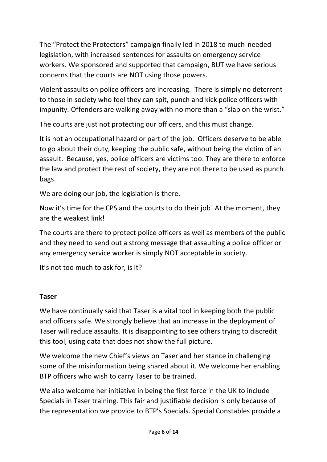The "Protect the Protectors" campaign finally led in 2018 to much-needed legislation, with increased sentences for assaults on emergency service workers. We sponsored and supported that campaign, BUT we have serious concerns that the courts are NOT using those powers.

Violent assaults on police officers are increasing. There is simply no deterrent to those in society who feel they can spit, punch and kick police officers with impunity. Offenders are walking away with no more than a "slap on the wrist."

The courts are just not protecting our officers, and this must change.

It is not an occupational hazard or part of the job. Officers deserve to be able to go about their duty, keeping the public safe, without being the victim of an assault. Because, yes, police officers are victims too. They are there to enforce the law and protect the rest of society, they are not there to be used as punch bags.

We are doing our job, the legislation is there.

Now it's time for the CPS and the courts to do their job! At the moment, they are the weakest link!

The courts are there to protect police officers as well as members of the public and they need to send out a strong message that assaulting a police officer or any emergency service worker is simply NOT acceptable in society.

It's not too much to ask for, is it?

#### **Taser**

We have continually said that Taser is a vital tool in keeping both the public and officers safe. We strongly believe that an increase in the deployment of Taser will reduce assaults. It is disappointing to see others trying to discredit this tool, using data that does not show the full picture.

We welcome the new Chief's views on Taser and her stance in challenging some of the misinformation being shared about it. We welcome her enabling BTP officers who wish to carry Taser to be trained.

We also welcome her initiative in being the first force in the UK to include Specials in Taser training. This fair and justifiable decision is only because of the representation we provide to BTP's Specials. Special Constables provide a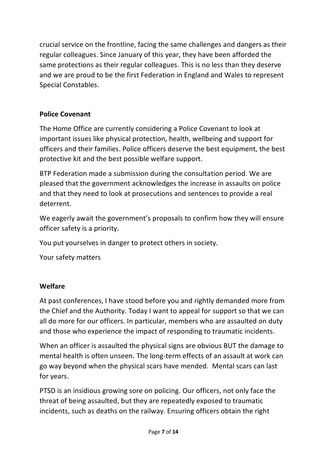crucial service on the frontline, facing the same challenges and dangers as their regular colleagues. Since January of this year, they have been afforded the same protections as their regular colleagues. This is no less than they deserve and we are proud to be the first Federation in England and Wales to represent Special Constables.

# **Police Covenant**

The Home Office are currently considering a Police Covenant to look at important issues like physical protection, health, wellbeing and support for officers and their families. Police officers deserve the best equipment, the best protective kit and the best possible welfare support.

BTP Federation made a submission during the consultation period. We are pleased that the government acknowledges the increase in assaults on police and that they need to look at prosecutions and sentences to provide a real deterrent.

We eagerly await the government's proposals to confirm how they will ensure officer safety is a priority.

You put yourselves in danger to protect others in society.

Your safety matters

# **Welfare**

At past conferences, I have stood before you and rightly demanded more from the Chief and the Authority. Today I want to appeal for support so that we can all do more for our officers. In particular, members who are assaulted on duty and those who experience the impact of responding to traumatic incidents.

When an officer is assaulted the physical signs are obvious BUT the damage to mental health is often unseen. The long-term effects of an assault at work can go way beyond when the physical scars have mended. Mental scars can last for years.

PTSD is an insidious growing sore on policing. Our officers, not only face the threat of being assaulted, but they are repeatedly exposed to traumatic incidents, such as deaths on the railway. Ensuring officers obtain the right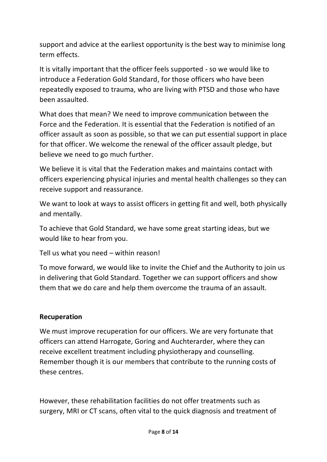support and advice at the earliest opportunity is the best way to minimise long term effects.

It is vitally important that the officer feels supported - so we would like to introduce a Federation Gold Standard, for those officers who have been repeatedly exposed to trauma, who are living with PTSD and those who have been assaulted.

What does that mean? We need to improve communication between the Force and the Federation. It is essential that the Federation is notified of an officer assault as soon as possible, so that we can put essential support in place for that officer. We welcome the renewal of the officer assault pledge, but believe we need to go much further.

We believe it is vital that the Federation makes and maintains contact with officers experiencing physical injuries and mental health challenges so they can receive support and reassurance.

We want to look at ways to assist officers in getting fit and well, both physically and mentally.

To achieve that Gold Standard, we have some great starting ideas, but we would like to hear from you.

Tell us what you need – within reason!

To move forward, we would like to invite the Chief and the Authority to join us in delivering that Gold Standard. Together we can support officers and show them that we do care and help them overcome the trauma of an assault.

# **Recuperation**

We must improve recuperation for our officers. We are very fortunate that officers can attend Harrogate, Goring and Auchterarder, where they can receive excellent treatment including physiotherapy and counselling. Remember though it is our members that contribute to the running costs of these centres.

However, these rehabilitation facilities do not offer treatments such as surgery, MRI or CT scans, often vital to the quick diagnosis and treatment of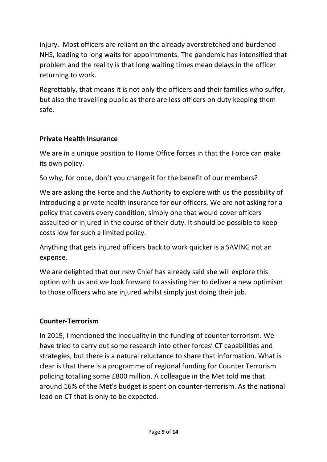injury. Most officers are reliant on the already overstretched and burdened NHS, leading to long waits for appointments. The pandemic has intensified that problem and the reality is that long waiting times mean delays in the officer returning to work.

Regrettably, that means it is not only the officers and their families who suffer, but also the travelling public as there are less officers on duty keeping them safe.

# **Private Health Insurance**

We are in a unique position to Home Office forces in that the Force can make its own policy.

So why, for once, don't you change it for the benefit of our members?

We are asking the Force and the Authority to explore with us the possibility of introducing a private health insurance for our officers. We are not asking for a policy that covers every condition, simply one that would cover officers assaulted or injured in the course of their duty. It should be possible to keep costs low for such a limited policy.

Anything that gets injured officers back to work quicker is a SAVING not an expense.

We are delighted that our new Chief has already said she will explore this option with us and we look forward to assisting her to deliver a new optimism to those officers who are injured whilst simply just doing their job.

# **Counter-Terrorism**

In 2019, I mentioned the inequality in the funding of counter terrorism. We have tried to carry out some research into other forces' CT capabilities and strategies, but there is a natural reluctance to share that information. What is clear is that there is a programme of regional funding for Counter Terrorism policing totalling some £800 million. A colleague in the Met told me that around 16% of the Met's budget is spent on counter-terrorism. As the national lead on CT that is only to be expected.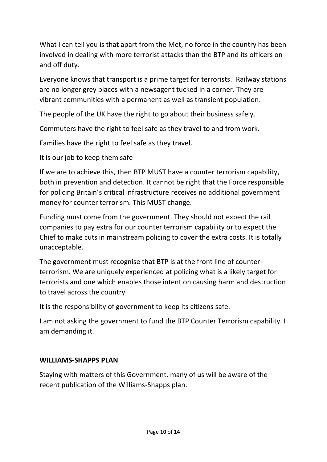What I can tell you is that apart from the Met, no force in the country has been involved in dealing with more terrorist attacks than the BTP and its officers on and off duty.

Everyone knows that transport is a prime target for terrorists. Railway stations are no longer grey places with a newsagent tucked in a corner. They are vibrant communities with a permanent as well as transient population.

The people of the UK have the right to go about their business safely.

Commuters have the right to feel safe as they travel to and from work.

Families have the right to feel safe as they travel.

It is our job to keep them safe

If we are to achieve this, then BTP MUST have a counter terrorism capability, both in prevention and detection. It cannot be right that the Force responsible for policing Britain's critical infrastructure receives no additional government money for counter terrorism. This MUST change.

Funding must come from the government. They should not expect the rail companies to pay extra for our counter terrorism capability or to expect the Chief to make cuts in mainstream policing to cover the extra costs. It is totally unacceptable.

The government must recognise that BTP is at the front line of counterterrorism. We are uniquely experienced at policing what is a likely target for terrorists and one which enables those intent on causing harm and destruction to travel across the country.

It is the responsibility of government to keep its citizens safe.

I am not asking the government to fund the BTP Counter Terrorism capability. I am demanding it.

#### **WILLIAMS-SHAPPS PLAN**

Staying with matters of this Government, many of us will be aware of the recent publication of the Williams-Shapps plan.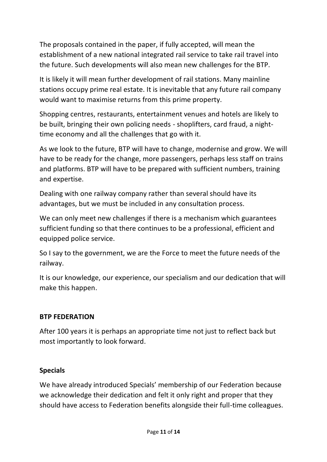The proposals contained in the paper, if fully accepted, will mean the establishment of a new national integrated rail service to take rail travel into the future. Such developments will also mean new challenges for the BTP.

It is likely it will mean further development of rail stations. Many mainline stations occupy prime real estate. It is inevitable that any future rail company would want to maximise returns from this prime property.

Shopping centres, restaurants, entertainment venues and hotels are likely to be built, bringing their own policing needs - shoplifters, card fraud, a nighttime economy and all the challenges that go with it.

As we look to the future, BTP will have to change, modernise and grow. We will have to be ready for the change, more passengers, perhaps less staff on trains and platforms. BTP will have to be prepared with sufficient numbers, training and expertise.

Dealing with one railway company rather than several should have its advantages, but we must be included in any consultation process.

We can only meet new challenges if there is a mechanism which guarantees sufficient funding so that there continues to be a professional, efficient and equipped police service.

So I say to the government, we are the Force to meet the future needs of the railway.

It is our knowledge, our experience, our specialism and our dedication that will make this happen.

# **BTP FEDERATION**

After 100 years it is perhaps an appropriate time not just to reflect back but most importantly to look forward.

# **Specials**

We have already introduced Specials' membership of our Federation because we acknowledge their dedication and felt it only right and proper that they should have access to Federation benefits alongside their full-time colleagues.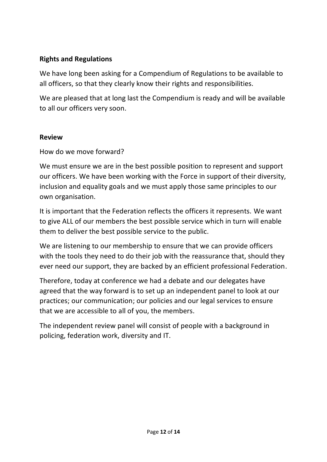# **Rights and Regulations**

We have long been asking for a Compendium of Regulations to be available to all officers, so that they clearly know their rights and responsibilities.

We are pleased that at long last the Compendium is ready and will be available to all our officers very soon.

## **Review**

How do we move forward?

We must ensure we are in the best possible position to represent and support our officers. We have been working with the Force in support of their diversity, inclusion and equality goals and we must apply those same principles to our own organisation.

It is important that the Federation reflects the officers it represents. We want to give ALL of our members the best possible service which in turn will enable them to deliver the best possible service to the public.

We are listening to our membership to ensure that we can provide officers with the tools they need to do their job with the reassurance that, should they ever need our support, they are backed by an efficient professional Federation.

Therefore, today at conference we had a debate and our delegates have agreed that the way forward is to set up an independent panel to look at our practices; our communication; our policies and our legal services to ensure that we are accessible to all of you, the members.

The independent review panel will consist of people with a background in policing, federation work, diversity and IT.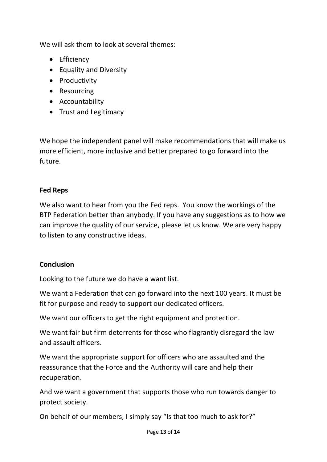We will ask them to look at several themes:

- Efficiency
- Equality and Diversity
- Productivity
- Resourcing
- Accountability
- Trust and Legitimacy

We hope the independent panel will make recommendations that will make us more efficient, more inclusive and better prepared to go forward into the future.

## **Fed Reps**

We also want to hear from you the Fed reps. You know the workings of the BTP Federation better than anybody. If you have any suggestions as to how we can improve the quality of our service, please let us know. We are very happy to listen to any constructive ideas.

#### **Conclusion**

Looking to the future we do have a want list.

We want a Federation that can go forward into the next 100 years. It must be fit for purpose and ready to support our dedicated officers.

We want our officers to get the right equipment and protection.

We want fair but firm deterrents for those who flagrantly disregard the law and assault officers.

We want the appropriate support for officers who are assaulted and the reassurance that the Force and the Authority will care and help their recuperation.

And we want a government that supports those who run towards danger to protect society.

On behalf of our members, I simply say "Is that too much to ask for?"